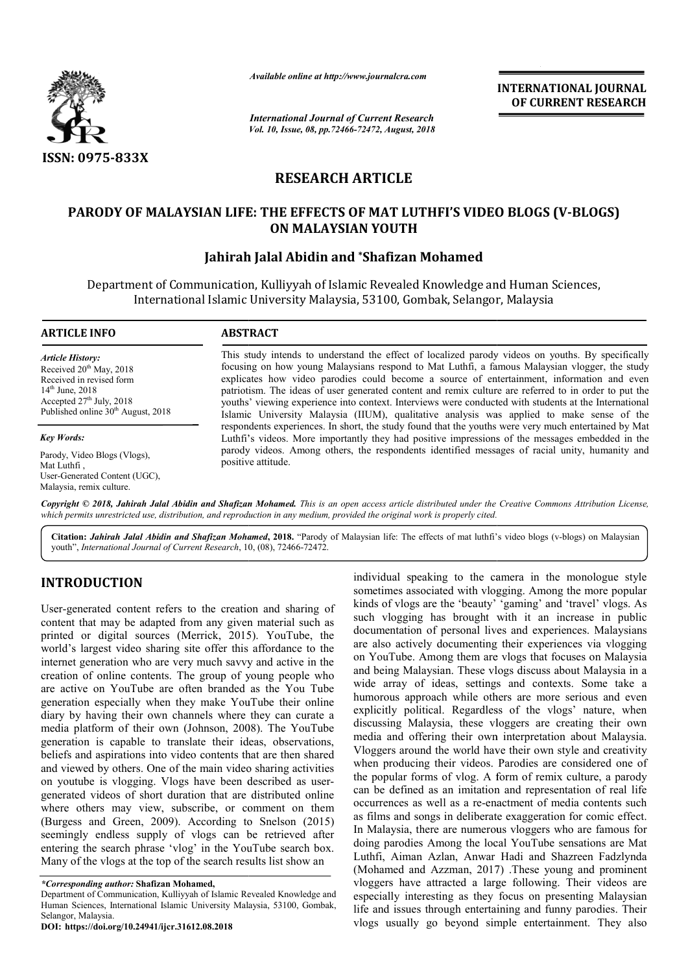

*Available online at http://www.journalcra.com*

*International Journal of Current Research Vol. 10, Issue, 08, pp.72466-72472, August, 2018* **INTERNATIONAL JOURNAL OF CURRENT RESEARCH**

# **RESEARCH ARTICLE**

# PARODY OF MALAYSIAN LIFE: THE EFFECTS OF MAT LUTHFI'S VIDEO BLOGS (V-BLOGS) **ON MALAYSIAN YOUTH**

# **Jahirah Jalal Abidin and \*Shafizan Mohamed**

Department of Communication, Kulliyyah of Islamic Revealed Knowledge and Human Sciences, International Islamic University Malaysia, 53100, Gombak, Selangor, Malaysia

#### **ARTICLE INFO ABSTRACT**

*Article History:* Received 20<sup>th</sup> May, 2018 Received in revised form 14<sup>th</sup> June, 2018 Accepted  $27<sup>th</sup>$  July, 2018 Published online 30<sup>th</sup> August, 2018

*Key Words:*

Parody, Video Blogs (Vlogs), Mat Luthfi , User-Generated Content (UGC), Malaysia, remix culture.

This study intends to understand the effect of localized parody videos on youths. By specifically focusing on how young Malaysians respond to Mat Luthfi, a famous Malaysian vlogger, the study explicates how video parodies could become a source of entertainment, information and even focusing on how young Malaysians respond to Mat Luthfi, a famous Malaysian vlogger, the study explicates how video parodies could become a source of entertainment, information and even patriotism. The ideas of user generat youths' viewing experience into context. Interviews were conducted with students at the International youths' viewing experience into context. Interviews were conducted with students at the International Islamic University Malaysia (IIUM), qualitative analysis was applied to make sense of the respondents experiences. In short, the study found that the youths were very much entertained by Mat Luthfi's videos. More importantly they had positive impressions of the messages embedded in the parody videos. Among others, the respondents identified messages of racial unity, humanity and positive attitude. respondents experiences. In short, the study found that the youths were very much entertained by l<br>Luthfi's videos. More importantly they had positive impressions of the messages embedded in<br>parody videos. Among others, th

Copyright © 2018, Jahirah Jalal Abidin and Shafizan Mohamed. This is an open access article distributed under the Creative Commons Attribution License, which permits unrestricted use, distribution, and reproduction in any medium, provided the original work is properly cited.

Citation: *Jahirah Jalal Abidin and Shafizan Mohamed*, 2018. "Parody of Malaysian life: The effects of mat luthfi's video blogs (v-blogs) on Malaysian youth", *International Journal of Current Research*, 10 10, (08), 72466-72472.

## **INTRODUCTION**

User-generated content refers to the creation and sharing of content that may be adapted from any given material such as printed or digital sources (Merrick, 2015). YouTube, the world's largest video sharing site offer this affordance to the internet generation who are very much savvy and active in the creation of online contents. The group of young people who are active on YouTube are often branded as the You Tube generation especially when they make YouTube their online diary by having their own channels where they can curate a media platform of their own (Johnson, 2008). The YouTube generation is capable to translate their ideas, observations, beliefs and aspirations into video contents that are then shared and viewed by others. One of the main video sharing activities generation is capable to translate their ideas, observations, beliefs and aspirations into video contents that are then shared and viewed by others. One of the main video sharing activities on youtube is vlogging. Vlogs ha generated videos of short duration that are distributed online where others may view, subscribe, or comment on them (Burgess and Green, 2009). According to Snelson (2015) seemingly endless supply of vlogs can be retrieved after entering the search phrase 'vlog' in the YouTube search box. Many of the vlogs at the top of the search results list show an

**DOI: https://doi.org/10.24941/ijcr.31612.08.2018**

moleculary individual speaking to the camera in the monologue style<br>
I content refers to the creation and sharing of<br>
lends of vlogs are the 'beauty' 'gaming' and 'travel' vlogs. As<br>
ay be adapted from any given material s sometimes associated with vlogging. Among the more popular individual speaking to the camera in the monologue style sometimes associated with vlogging. Among the more popular kinds of vlogs are the 'beauty' 'gaming' and 'travel' vlogs. As such vlogging has brought with it an increase in public documentation of personal lives and experiences. Malaysians are also actively documenting their experiences via vlogging on YouTube. Among them are vlogs that focuses on Malaysia and being Malaysian. These vlogs discuss about Malaysia in a wide array of ideas, settings and contexts. Some take a humorous approach while others are more serious and even explicitly political. Regardless of the vlogs' nature, when discussing Malaysia, these vloggers are creating their own media and offering their own interpretation about Malaysia. Vloggers around the world have their own style and creativity when producing their videos. Parodies are considered one of the popular forms of vlog. A form of remix culture, a parody can be defined as an imitation and representation of real life occurrences as well as a re-enactment of as films and songs in deliberate exaggeration for comic effect. In Malaysia, there are numerous vloggers who are famous for doing parodies Among the local YouTube sensations are Mat Luthfi, Aiman Azlan, Anwar Hadi and Shazreen Fadzlynda (Mohamed and Azzman, 2017) .These young and prominent vloggers have attracted a large following. Their videos are especially interesting as they focus on presenting Malaysian as films and songs in deliberate exaggeration for comic effect.<br>In Malaysia, there are numerous vloggers who are famous for<br>doing parodies Among the local YouTube sensations are Mat<br>Luthfi, Aiman Azlan, Anwar Hadi and Shaz vlogs usually go beyond simple entertainment. They also increase in public<br>tation of personal lives and experiences. Malaysians<br>actively documenting their experiences via vlogging<br>ube. Among them are vlogs that focuses on Malaysia<br>in a<br>g Malaysian. These vlogs discuss about Mal bound the world have their own style and creativity cing their videos. Parodies are considered one of forms of vlog. A form of remix culture, a parody ned as an imitation and representation of real life as well as a re-ena

*<sup>\*</sup>Corresponding author:* **Shafizan Mohamed,**

Department of Communication, Kulliyyah of Islamic Revealed Knowledge and Human Sciences, International Islamic University Malaysia, 53100, Gombak, Selangor, Malaysia.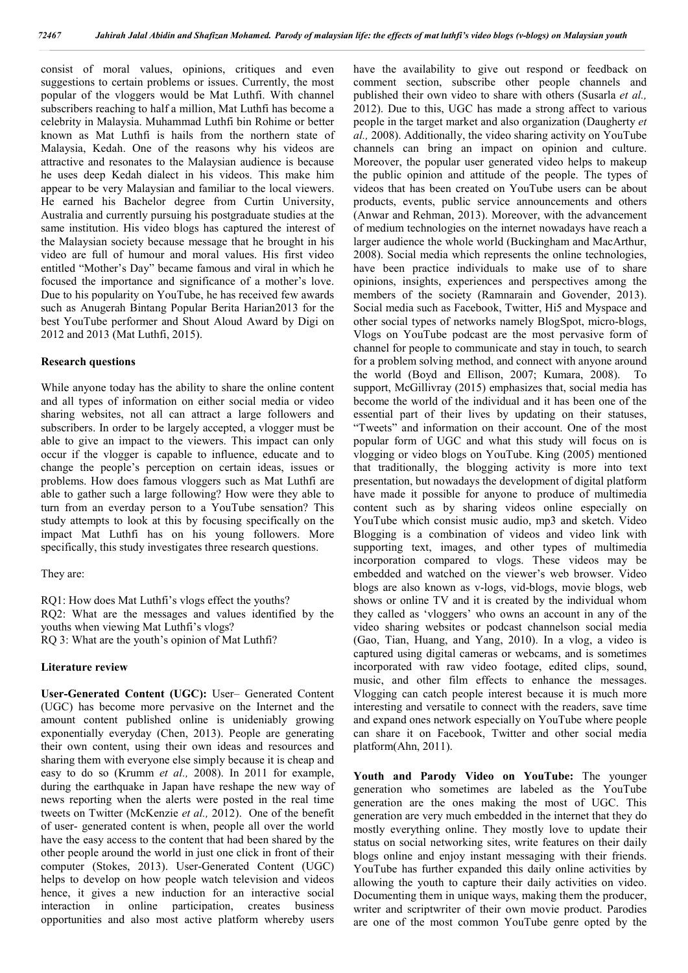consist of moral values, opinions, critiques and even suggestions to certain problems or issues. Currently, the most popular of the vloggers would be Mat Luthfi. With channel subscribers reaching to half a million, Mat Luthfi has become a celebrity in Malaysia. Muhammad Luthfi bin Rohime or better known as Mat Luthfi is hails from the northern state of Malaysia, Kedah. One of the reasons why his videos are attractive and resonates to the Malaysian audience is because he uses deep Kedah dialect in his videos. This make him appear to be very Malaysian and familiar to the local viewers. He earned his Bachelor degree from Curtin University, Australia and currently pursuing his postgraduate studies at the same institution. His video blogs has captured the interest of the Malaysian society because message that he brought in his video are full of humour and moral values. His first video entitled "Mother's Day" became famous and viral in which he focused the importance and significance of a mother's love. Due to his popularity on YouTube, he has received few awards such as Anugerah Bintang Popular Berita Harian2013 for the best YouTube performer and Shout Aloud Award by Digi on 2012 and 2013 (Mat Luthfi, 2015).

#### **Research questions**

While anyone today has the ability to share the online content and all types of information on either social media or video sharing websites, not all can attract a large followers and subscribers. In order to be largely accepted, a vlogger must be able to give an impact to the viewers. This impact can only occur if the vlogger is capable to influence, educate and to change the people's perception on certain ideas, issues or problems. How does famous vloggers such as Mat Luthfi are able to gather such a large following? How were they able to turn from an everday person to a YouTube sensation? This study attempts to look at this by focusing specifically on the impact Mat Luthfi has on his young followers. More specifically, this study investigates three research questions.

They are:

RQ1: How does Mat Luthfi's vlogs effect the youths? RQ2: What are the messages and values identified by the youths when viewing Mat Luthfi's vlogs? RQ 3: What are the youth's opinion of Mat Luthfi?

#### **Literature review**

**User-Generated Content (UGC):** User– Generated Content (UGC) has become more pervasive on the Internet and the amount content published online is unideniably growing exponentially everyday (Chen, 2013). People are generating their own content, using their own ideas and resources and sharing them with everyone else simply because it is cheap and easy to do so (Krumm *et al.,* 2008). In 2011 for example, during the earthquake in Japan have reshape the new way of news reporting when the alerts were posted in the real time tweets on Twitter (McKenzie *et al.,* 2012). One of the benefit of user- generated content is when, people all over the world have the easy access to the content that had been shared by the other people around the world in just one click in front of their computer (Stokes, 2013). User-Generated Content (UGC) helps to develop on how people watch television and videos hence, it gives a new induction for an interactive social interaction in online participation, creates business opportunities and also most active platform whereby users

have the availability to give out respond or feedback on comment section, subscribe other people channels and published their own video to share with others (Susarla *et al.,* 2012). Due to this, UGC has made a strong affect to various people in the target market and also organization (Daugherty *et al.,* 2008). Additionally, the video sharing activity on YouTube channels can bring an impact on opinion and culture. Moreover, the popular user generated video helps to makeup the public opinion and attitude of the people. The types of videos that has been created on YouTube users can be about products, events, public service announcements and others (Anwar and Rehman, 2013). Moreover, with the advancement of medium technologies on the internet nowadays have reach a larger audience the whole world (Buckingham and MacArthur, 2008). Social media which represents the online technologies, have been practice individuals to make use of to share opinions, insights, experiences and perspectives among the members of the society (Ramnarain and Govender, 2013). Social media such as Facebook, Twitter, Hi5 and Myspace and other social types of networks namely BlogSpot, micro-blogs, Vlogs on YouTube podcast are the most pervasive form of channel for people to communicate and stay in touch, to search for a problem solving method, and connect with anyone around the world (Boyd and Ellison, 2007; Kumara, 2008). To support, McGillivray (2015) emphasizes that, social media has become the world of the individual and it has been one of the essential part of their lives by updating on their statuses, "Tweets" and information on their account. One of the most popular form of UGC and what this study will focus on is vlogging or video blogs on YouTube. King (2005) mentioned that traditionally, the blogging activity is more into text presentation, but nowadays the development of digital platform have made it possible for anyone to produce of multimedia content such as by sharing videos online especially on YouTube which consist music audio, mp3 and sketch. Video Blogging is a combination of videos and video link with supporting text, images, and other types of multimedia incorporation compared to vlogs. These videos may be embedded and watched on the viewer's web browser. Video blogs are also known as v-logs, vid-blogs, movie blogs, web shows or online TV and it is created by the individual whom they called as 'vloggers' who owns an account in any of the video sharing websites or podcast channelson social media (Gao, Tian, Huang, and Yang, 2010). In a vlog, a video is captured using digital cameras or webcams, and is sometimes incorporated with raw video footage, edited clips, sound, music, and other film effects to enhance the messages. Vlogging can catch people interest because it is much more interesting and versatile to connect with the readers, save time and expand ones network especially on YouTube where people can share it on Facebook, Twitter and other social media platform(Ahn, 2011).

**Youth and Parody Video on YouTube:** The younger generation who sometimes are labeled as the YouTube generation are the ones making the most of UGC. This generation are very much embedded in the internet that they do mostly everything online. They mostly love to update their status on social networking sites, write features on their daily blogs online and enjoy instant messaging with their friends. YouTube has further expanded this daily online activities by allowing the youth to capture their daily activities on video. Documenting them in unique ways, making them the producer, writer and scriptwriter of their own movie product. Parodies are one of the most common YouTube genre opted by the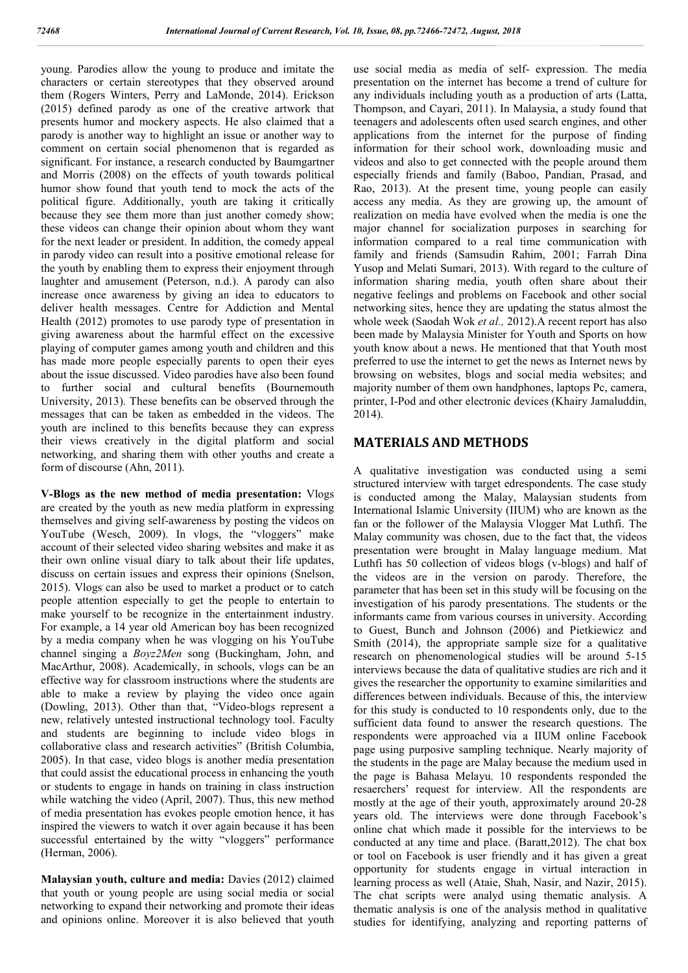young. Parodies allow the young to produce and imitate the characters or certain stereotypes that they observed around them (Rogers Winters, Perry and LaMonde, 2014). Erickson (2015) defined parody as one of the creative artwork that presents humor and mockery aspects. He also claimed that a parody is another way to highlight an issue or another way to comment on certain social phenomenon that is regarded as significant. For instance, a research conducted by Baumgartner and Morris (2008) on the effects of youth towards political humor show found that youth tend to mock the acts of the political figure. Additionally, youth are taking it critically because they see them more than just another comedy show; these videos can change their opinion about whom they want for the next leader or president. In addition, the comedy appeal in parody video can result into a positive emotional release for the youth by enabling them to express their enjoyment through laughter and amusement (Peterson, n.d.). A parody can also increase once awareness by giving an idea to educators to deliver health messages. Centre for Addiction and Mental Health (2012) promotes to use parody type of presentation in giving awareness about the harmful effect on the excessive playing of computer games among youth and children and this has made more people especially parents to open their eyes about the issue discussed. Video parodies have also been found to further social and cultural benefits (Bournemouth University, 2013). These benefits can be observed through the messages that can be taken as embedded in the videos. The youth are inclined to this benefits because they can express their views creatively in the digital platform and social networking, and sharing them with other youths and create a form of discourse (Ahn, 2011).

**V-Blogs as the new method of media presentation:** Vlogs are created by the youth as new media platform in expressing themselves and giving self-awareness by posting the videos on YouTube (Wesch, 2009). In vlogs, the "vloggers" make account of their selected video sharing websites and make it as their own online visual diary to talk about their life updates, discuss on certain issues and express their opinions (Snelson, 2015). Vlogs can also be used to market a product or to catch people attention especially to get the people to entertain to make yourself to be recognize in the entertainment industry. For example, a 14 year old American boy has been recognized by a media company when he was vlogging on his YouTube channel singing a *Boyz2Men* song (Buckingham, John, and MacArthur, 2008). Academically, in schools, vlogs can be an effective way for classroom instructions where the students are able to make a review by playing the video once again (Dowling, 2013). Other than that, "Video-blogs represent a new, relatively untested instructional technology tool. Faculty and students are beginning to include video blogs in collaborative class and research activities" (British Columbia, 2005). In that case, video blogs is another media presentation that could assist the educational process in enhancing the youth or students to engage in hands on training in class instruction while watching the video (April, 2007). Thus, this new method of media presentation has evokes people emotion hence, it has inspired the viewers to watch it over again because it has been successful entertained by the witty "vloggers" performance (Herman, 2006).

**Malaysian youth, culture and media:** Davies (2012) claimed that youth or young people are using social media or social networking to expand their networking and promote their ideas and opinions online. Moreover it is also believed that youth use social media as media of self- expression. The media presentation on the internet has become a trend of culture for any individuals including youth as a production of arts (Latta, Thompson, and Cayari, 2011). In Malaysia, a study found that teenagers and adolescents often used search engines, and other applications from the internet for the purpose of finding information for their school work, downloading music and videos and also to get connected with the people around them especially friends and family (Baboo, Pandian, Prasad, and Rao, 2013). At the present time, young people can easily access any media. As they are growing up, the amount of realization on media have evolved when the media is one the major channel for socialization purposes in searching for information compared to a real time communication with family and friends (Samsudin Rahim, 2001; Farrah Dina Yusop and Melati Sumari, 2013). With regard to the culture of information sharing media, youth often share about their negative feelings and problems on Facebook and other social networking sites, hence they are updating the status almost the whole week (Saodah Wok *et al.,* 2012).A recent report has also been made by Malaysia Minister for Youth and Sports on how youth know about a news. He mentioned that that Youth most preferred to use the internet to get the news as Internet news by browsing on websites, blogs and social media websites; and majority number of them own handphones, laptops Pc, camera, printer, I-Pod and other electronic devices (Khairy Jamaluddin, 2014).

## **MATERIALS AND METHODS**

A qualitative investigation was conducted using a semi structured interview with target edrespondents. The case study is conducted among the Malay, Malaysian students from International Islamic University (IIUM) who are known as the fan or the follower of the Malaysia Vlogger Mat Luthfi. The Malay community was chosen, due to the fact that, the videos presentation were brought in Malay language medium. Mat Luthfi has 50 collection of videos blogs (v-blogs) and half of the videos are in the version on parody. Therefore, the parameter that has been set in this study will be focusing on the investigation of his parody presentations. The students or the informants came from various courses in university. According to Guest, Bunch and Johnson (2006) and Pietkiewicz and Smith (2014), the appropriate sample size for a qualitative research on phenomenological studies will be around 5-15 interviews because the data of qualitative studies are rich and it gives the researcher the opportunity to examine similarities and differences between individuals. Because of this, the interview for this study is conducted to 10 respondents only, due to the sufficient data found to answer the research questions. The respondents were approached via a IIUM online Facebook page using purposive sampling technique. Nearly majority of the students in the page are Malay because the medium used in the page is Bahasa Melayu. 10 respondents responded the resaerchers' request for interview. All the respondents are mostly at the age of their youth, approximately around 20-28 years old. The interviews were done through Facebook's online chat which made it possible for the interviews to be conducted at any time and place. (Baratt,2012). The chat box or tool on Facebook is user friendly and it has given a great opportunity for students engage in virtual interaction in learning process as well (Ataie, Shah, Nasir, and Nazir, 2015). The chat scripts were analyd using thematic analysis. A thematic analysis is one of the analysis method in qualitative studies for identifying, analyzing and reporting patterns of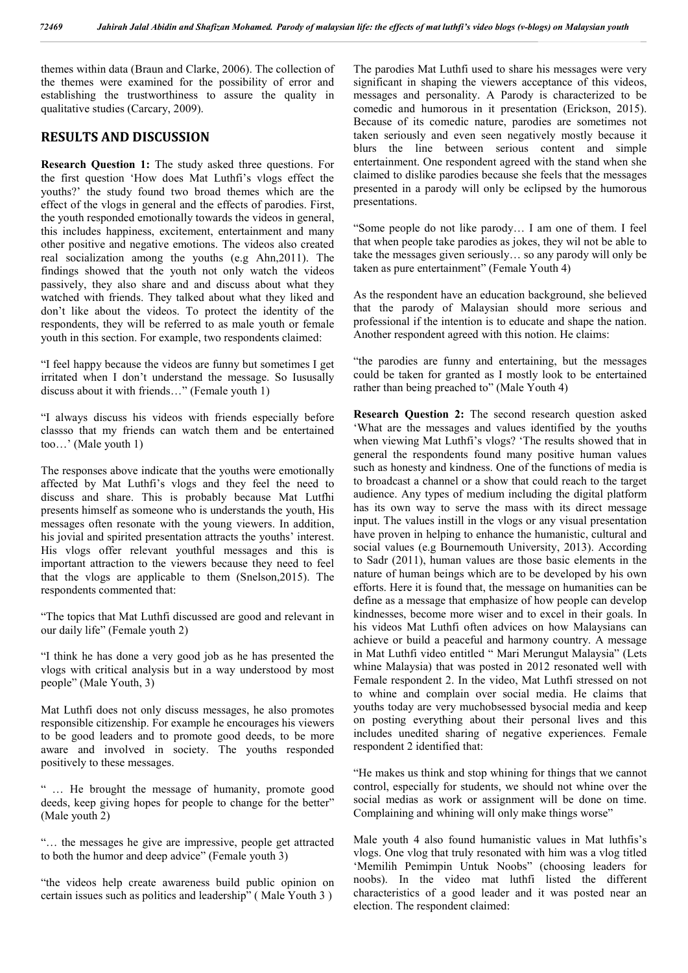themes within data (Braun and Clarke, 2006). The collection of the themes were examined for the possibility of error and establishing the trustworthiness to assure the quality in qualitative studies (Carcary, 2009).

## **RESULTS AND DISCUSSION**

**Research Question 1:** The study asked three questions. For the first question 'How does Mat Luthfi's vlogs effect the youths?' the study found two broad themes which are the effect of the vlogs in general and the effects of parodies. First, the youth responded emotionally towards the videos in general, this includes happiness, excitement, entertainment and many other positive and negative emotions. The videos also created real socialization among the youths (e.g Ahn,2011). The findings showed that the youth not only watch the videos passively, they also share and and discuss about what they watched with friends. They talked about what they liked and don't like about the videos. To protect the identity of the respondents, they will be referred to as male youth or female youth in this section. For example, two respondents claimed:

"I feel happy because the videos are funny but sometimes I get irritated when I don't understand the message. So Iususally discuss about it with friends…" (Female youth 1)

"I always discuss his videos with friends especially before classso that my friends can watch them and be entertained too…' (Male youth 1)

The responses above indicate that the youths were emotionally affected by Mat Luthfi's vlogs and they feel the need to discuss and share. This is probably because Mat Lutfhi presents himself as someone who is understands the youth, His messages often resonate with the young viewers. In addition, his jovial and spirited presentation attracts the youths' interest. His vlogs offer relevant youthful messages and this is important attraction to the viewers because they need to feel that the vlogs are applicable to them (Snelson,2015). The respondents commented that:

"The topics that Mat Luthfi discussed are good and relevant in our daily life" (Female youth 2)

"I think he has done a very good job as he has presented the vlogs with critical analysis but in a way understood by most people" (Male Youth, 3)

Mat Luthfi does not only discuss messages, he also promotes responsible citizenship. For example he encourages his viewers to be good leaders and to promote good deeds, to be more aware and involved in society. The youths responded positively to these messages.

" … He brought the message of humanity, promote good deeds, keep giving hopes for people to change for the better" (Male youth 2)

"… the messages he give are impressive, people get attracted to both the humor and deep advice" (Female youth 3)

"the videos help create awareness build public opinion on certain issues such as politics and leadership" ( Male Youth 3 )

The parodies Mat Luthfi used to share his messages were very significant in shaping the viewers acceptance of this videos, messages and personality. A Parody is characterized to be comedic and humorous in it presentation (Erickson, 2015). Because of its comedic nature, parodies are sometimes not taken seriously and even seen negatively mostly because it blurs the line between serious content and simple entertainment. One respondent agreed with the stand when she claimed to dislike parodies because she feels that the messages presented in a parody will only be eclipsed by the humorous presentations.

"Some people do not like parody… I am one of them. I feel that when people take parodies as jokes, they wil not be able to take the messages given seriously… so any parody will only be taken as pure entertainment" (Female Youth 4)

As the respondent have an education background, she believed that the parody of Malaysian should more serious and professional if the intention is to educate and shape the nation. Another respondent agreed with this notion. He claims:

"the parodies are funny and entertaining, but the messages could be taken for granted as I mostly look to be entertained rather than being preached to" (Male Youth 4)

**Research Question 2:** The second research question asked 'What are the messages and values identified by the youths when viewing Mat Luthfi's vlogs? 'The results showed that in general the respondents found many positive human values such as honesty and kindness. One of the functions of media is to broadcast a channel or a show that could reach to the target audience. Any types of medium including the digital platform has its own way to serve the mass with its direct message input. The values instill in the vlogs or any visual presentation have proven in helping to enhance the humanistic, cultural and social values (e.g Bournemouth University, 2013). According to Sadr (2011), human values are those basic elements in the nature of human beings which are to be developed by his own efforts. Here it is found that, the message on humanities can be define as a message that emphasize of how people can develop kindnesses, become more wiser and to excel in their goals. In his videos Mat Luthfi often advices on how Malaysians can achieve or build a peaceful and harmony country. A message in Mat Luthfi video entitled " Mari Merungut Malaysia" (Lets whine Malaysia) that was posted in 2012 resonated well with Female respondent 2. In the video, Mat Luthfi stressed on not to whine and complain over social media. He claims that youths today are very muchobsessed bysocial media and keep on posting everything about their personal lives and this includes unedited sharing of negative experiences. Female respondent 2 identified that:

"He makes us think and stop whining for things that we cannot control, especially for students, we should not whine over the social medias as work or assignment will be done on time. Complaining and whining will only make things worse"

Male youth 4 also found humanistic values in Mat luthfis's vlogs. One vlog that truly resonated with him was a vlog titled 'Memilih Pemimpin Untuk Noobs" (choosing leaders for noobs). In the video mat luthfi listed the different characteristics of a good leader and it was posted near an election. The respondent claimed: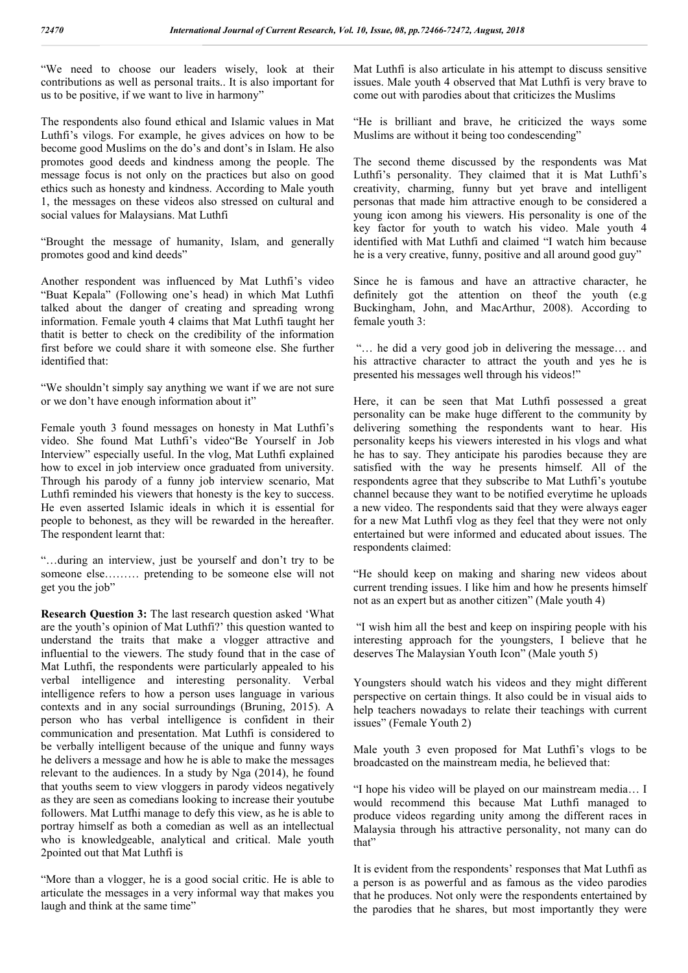"We need to choose our leaders wisely, look at their contributions as well as personal traits.. It is also important for us to be positive, if we want to live in harmony"

The respondents also found ethical and Islamic values in Mat Luthfi's vilogs. For example, he gives advices on how to be become good Muslims on the do's and dont's in Islam. He also promotes good deeds and kindness among the people. The message focus is not only on the practices but also on good ethics such as honesty and kindness. According to Male youth 1, the messages on these videos also stressed on cultural and social values for Malaysians. Mat Luthfi

"Brought the message of humanity, Islam, and generally promotes good and kind deeds"

Another respondent was influenced by Mat Luthfi's video "Buat Kepala" (Following one's head) in which Mat Luthfi talked about the danger of creating and spreading wrong information. Female youth 4 claims that Mat Luthfi taught her thatit is better to check on the credibility of the information first before we could share it with someone else. She further identified that:

"We shouldn't simply say anything we want if we are not sure or we don't have enough information about it"

Female youth 3 found messages on honesty in Mat Luthfi's video. She found Mat Luthfi's video"Be Yourself in Job Interview" especially useful. In the vlog, Mat Luthfi explained how to excel in job interview once graduated from university. Through his parody of a funny job interview scenario, Mat Luthfi reminded his viewers that honesty is the key to success. He even asserted Islamic ideals in which it is essential for people to behonest, as they will be rewarded in the hereafter. The respondent learnt that:

"…during an interview, just be yourself and don't try to be someone else……… pretending to be someone else will not get you the job"

**Research Question 3:** The last research question asked 'What are the youth's opinion of Mat Luthfi?' this question wanted to understand the traits that make a vlogger attractive and influential to the viewers. The study found that in the case of Mat Luthfi, the respondents were particularly appealed to his verbal intelligence and interesting personality. Verbal intelligence refers to how a person uses language in various contexts and in any social surroundings (Bruning, 2015). A person who has verbal intelligence is confident in their communication and presentation. Mat Luthfi is considered to be verbally intelligent because of the unique and funny ways he delivers a message and how he is able to make the messages relevant to the audiences. In a study by Nga (2014), he found that youths seem to view vloggers in parody videos negatively as they are seen as comedians looking to increase their youtube followers. Mat Lutfhi manage to defy this view, as he is able to portray himself as both a comedian as well as an intellectual who is knowledgeable, analytical and critical. Male youth 2pointed out that Mat Luthfi is

"More than a vlogger, he is a good social critic. He is able to articulate the messages in a very informal way that makes you laugh and think at the same time"

Mat Luthfi is also articulate in his attempt to discuss sensitive issues. Male youth 4 observed that Mat Luthfi is very brave to come out with parodies about that criticizes the Muslims

"He is brilliant and brave, he criticized the ways some Muslims are without it being too condescending"

The second theme discussed by the respondents was Mat Luthfi's personality. They claimed that it is Mat Luthfi's creativity, charming, funny but yet brave and intelligent personas that made him attractive enough to be considered a young icon among his viewers. His personality is one of the key factor for youth to watch his video. Male youth 4 identified with Mat Luthfi and claimed "I watch him because he is a very creative, funny, positive and all around good guy"

Since he is famous and have an attractive character, he definitely got the attention on theof the youth (e.g Buckingham, John, and MacArthur, 2008). According to female youth 3:

"… he did a very good job in delivering the message… and his attractive character to attract the youth and yes he is presented his messages well through his videos!"

Here, it can be seen that Mat Luthfi possessed a great personality can be make huge different to the community by delivering something the respondents want to hear. His personality keeps his viewers interested in his vlogs and what he has to say. They anticipate his parodies because they are satisfied with the way he presents himself. All of the respondents agree that they subscribe to Mat Luthfi's youtube channel because they want to be notified everytime he uploads a new video. The respondents said that they were always eager for a new Mat Luthfi vlog as they feel that they were not only entertained but were informed and educated about issues. The respondents claimed:

"He should keep on making and sharing new videos about current trending issues. I like him and how he presents himself not as an expert but as another citizen" (Male youth 4)

"I wish him all the best and keep on inspiring people with his interesting approach for the youngsters, I believe that he deserves The Malaysian Youth Icon" (Male youth 5)

Youngsters should watch his videos and they might different perspective on certain things. It also could be in visual aids to help teachers nowadays to relate their teachings with current issues" (Female Youth 2)

Male youth 3 even proposed for Mat Luthfi's vlogs to be broadcasted on the mainstream media, he believed that:

"I hope his video will be played on our mainstream media… I would recommend this because Mat Luthfi managed to produce videos regarding unity among the different races in Malaysia through his attractive personality, not many can do that"

It is evident from the respondents' responses that Mat Luthfi as a person is as powerful and as famous as the video parodies that he produces. Not only were the respondents entertained by the parodies that he shares, but most importantly they were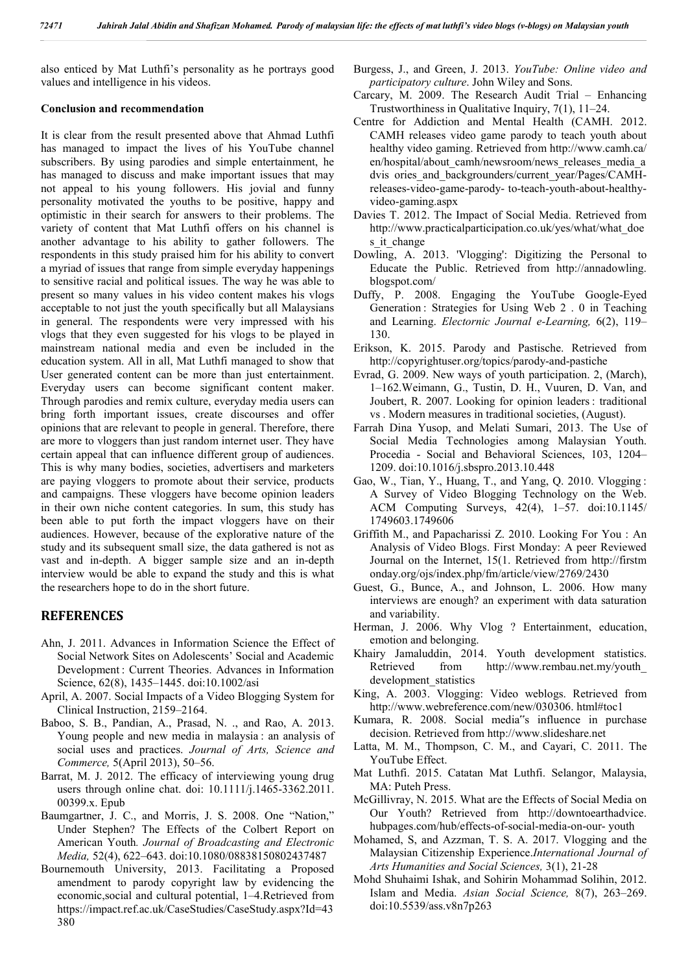also enticed by Mat Luthfi's personality as he portrays good values and intelligence in his videos.

### **Conclusion and recommendation**

It is clear from the result presented above that Ahmad Luthfi has managed to impact the lives of his YouTube channel subscribers. By using parodies and simple entertainment, he has managed to discuss and make important issues that may not appeal to his young followers. His jovial and funny personality motivated the youths to be positive, happy and optimistic in their search for answers to their problems. The variety of content that Mat Luthfi offers on his channel is another advantage to his ability to gather followers. The respondents in this study praised him for his ability to convert a myriad of issues that range from simple everyday happenings to sensitive racial and political issues. The way he was able to present so many values in his video content makes his vlogs acceptable to not just the youth specifically but all Malaysians in general. The respondents were very impressed with his vlogs that they even suggested for his vlogs to be played in mainstream national media and even be included in the education system. All in all, Mat Luthfi managed to show that User generated content can be more than just entertainment. Everyday users can become significant content maker. Through parodies and remix culture, everyday media users can bring forth important issues, create discourses and offer opinions that are relevant to people in general. Therefore, there are more to vloggers than just random internet user. They have certain appeal that can influence different group of audiences. This is why many bodies, societies, advertisers and marketers are paying vloggers to promote about their service, products and campaigns. These vloggers have become opinion leaders in their own niche content categories. In sum, this study has been able to put forth the impact vloggers have on their audiences. However, because of the explorative nature of the study and its subsequent small size, the data gathered is not as vast and in-depth. A bigger sample size and an in-depth interview would be able to expand the study and this is what the researchers hope to do in the short future.

## **REFERENCES**

- Ahn, J. 2011. Advances in Information Science the Effect of Social Network Sites on Adolescents' Social and Academic Development : Current Theories. Advances in Information Science, 62(8), 1435–1445. doi:10.1002/asi
- April, A. 2007. Social Impacts of a Video Blogging System for Clinical Instruction, 2159–2164.
- Baboo, S. B., Pandian, A., Prasad, N. ., and Rao, A. 2013. Young people and new media in malaysia : an analysis of social uses and practices. *Journal of Arts, Science and Commerce,* 5(April 2013), 50–56.
- Barrat, M. J. 2012. The efficacy of interviewing young drug users through online chat. doi: 10.1111/j.1465-3362.2011. 00399.x. Epub
- Baumgartner, J. C., and Morris, J. S. 2008. One "Nation," Under Stephen? The Effects of the Colbert Report on American Youth*. Journal of Broadcasting and Electronic Media,* 52(4), 622–643. doi:10.1080/08838150802437487
- Bournemouth University, 2013. Facilitating a Proposed amendment to parody copyright law by evidencing the economic,social and cultural potential, 1–4.Retrieved from https://impact.ref.ac.uk/CaseStudies/CaseStudy.aspx?Id=43 380
- Burgess, J., and Green, J. 2013. *YouTube: Online video and participatory culture*. John Wiley and Sons.
- Carcary, M. 2009. The Research Audit Trial Enhancing Trustworthiness in Qualitative Inquiry, 7(1), 11–24.
- Centre for Addiction and Mental Health (CAMH. 2012. CAMH releases video game parody to teach youth about healthy video gaming. Retrieved from http://www.camh.ca/ en/hospital/about\_camh/newsroom/news\_releases\_media\_a dvis ories\_and\_backgrounders/current\_year/Pages/CAMHreleases-video-game-parody- to-teach-youth-about-healthyvideo-gaming.aspx
- Davies T. 2012. The Impact of Social Media. Retrieved from http://www.practicalparticipation.co.uk/yes/what/what\_doe s it change
- Dowling, A. 2013. 'Vlogging': Digitizing the Personal to Educate the Public. Retrieved from http://annadowling. blogspot.com/
- Duffy, P. 2008. Engaging the YouTube Google-Eyed Generation : Strategies for Using Web 2 . 0 in Teaching and Learning. *Electornic Journal e-Learning,* 6(2), 119– 130.
- Erikson, K. 2015. Parody and Pastische. Retrieved from http://copyrightuser.org/topics/parody-and-pastiche
- Evrad, G. 2009. New ways of youth participation. 2, (March), 1–162.Weimann, G., Tustin, D. H., Vuuren, D. Van, and Joubert, R. 2007. Looking for opinion leaders : traditional vs . Modern measures in traditional societies, (August).
- Farrah Dina Yusop, and Melati Sumari, 2013. The Use of Social Media Technologies among Malaysian Youth. Procedia - Social and Behavioral Sciences, 103, 1204– 1209. doi:10.1016/j.sbspro.2013.10.448
- Gao, W., Tian, Y., Huang, T., and Yang, Q. 2010. Vlogging : A Survey of Video Blogging Technology on the Web. ACM Computing Surveys, 42(4), 1–57. doi:10.1145/ 1749603.1749606
- Griffith M., and Papacharissi Z. 2010. Looking For You : An Analysis of Video Blogs. First Monday: A peer Reviewed Journal on the Internet, 15(1. Retrieved from http://firstm onday.org/ojs/index.php/fm/article/view/2769/2430
- Guest, G., Bunce, A., and Johnson, L. 2006. How many interviews are enough? an experiment with data saturation and variability.
- Herman, J. 2006. Why Vlog ? Entertainment, education, emotion and belonging.
- Khairy Jamaluddin, 2014. Youth development statistics. Retrieved from http://www.rembau.net.my/youth\_ development\_statistics
- King, A. 2003. Vlogging: Video weblogs. Retrieved from http://www.webreference.com/new/030306. html#toc1
- Kumara, R. 2008. Social media"s influence in purchase decision. Retrieved from http://www.slideshare.net
- Latta, M. M., Thompson, C. M., and Cayari, C. 2011. The YouTube Effect.
- Mat Luthfi. 2015. Catatan Mat Luthfi. Selangor, Malaysia, MA: Puteh Press.
- McGillivray, N. 2015. What are the Effects of Social Media on Our Youth? Retrieved from http://downtoearthadvice. hubpages.com/hub/effects-of-social-media-on-our- youth
- Mohamed, S, and Azzman, T. S. A. 2017. Vlogging and the Malaysian Citizenship Experience.*International Journal of Arts Humanities and Social Sciences,* 3(1), 21-28
- Mohd Shuhaimi Ishak, and Sohirin Mohammad Solihin, 2012. Islam and Media. *Asian Social Science,* 8(7), 263–269. doi:10.5539/ass.v8n7p263